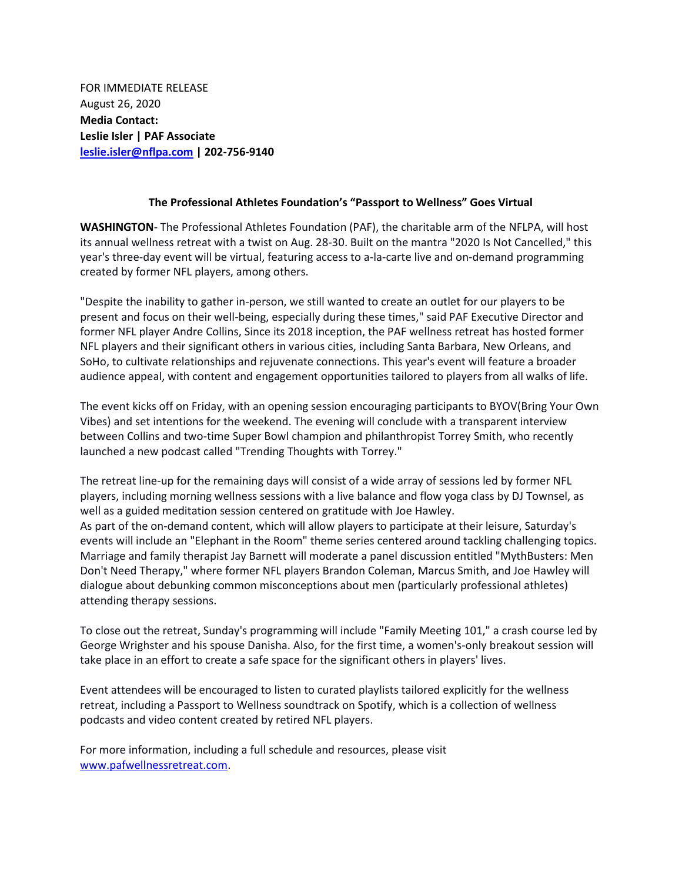FOR IMMEDIATE RELEASE August 26, 2020 **Media Contact: Leslie Isler | PAF Associate [leslie.isler@nflpa.com](mailto:leslie.isler@nflpa.com) | 202-756-9140**

## **The Professional Athletes Foundation's "Passport to Wellness" Goes Virtual**

**WASHINGTON**- The Professional Athletes Foundation (PAF), the charitable arm of the NFLPA, will host its annual wellness retreat with a twist on Aug. 28-30. Built on the mantra "2020 Is Not Cancelled," this year's three-day event will be virtual, featuring access to a-la-carte live and on-demand programming created by former NFL players, among others.

"Despite the inability to gather in-person, we still wanted to create an outlet for our players to be present and focus on their well-being, especially during these times," said PAF Executive Director and former NFL player Andre Collins, Since its 2018 inception, the PAF wellness retreat has hosted former NFL players and their significant others in various cities, including Santa Barbara, New Orleans, and SoHo, to cultivate relationships and rejuvenate connections. This year's event will feature a broader audience appeal, with content and engagement opportunities tailored to players from all walks of life.

The event kicks off on Friday, with an opening session encouraging participants to BYOV(Bring Your Own Vibes) and set intentions for the weekend. The evening will conclude with a transparent interview between Collins and two-time Super Bowl champion and philanthropist Torrey Smith, who recently launched a new podcast called "Trending Thoughts with Torrey."

The retreat line-up for the remaining days will consist of a wide array of sessions led by former NFL players, including morning wellness sessions with a live balance and flow yoga class by DJ Townsel, as well as a guided meditation session centered on gratitude with Joe Hawley. As part of the on-demand content, which will allow players to participate at their leisure, Saturday's events will include an "Elephant in the Room" theme series centered around tackling challenging topics. Marriage and family therapist Jay Barnett will moderate a panel discussion entitled "MythBusters: Men Don't Need Therapy," where former NFL players Brandon Coleman, Marcus Smith, and Joe Hawley will dialogue about debunking common misconceptions about men (particularly professional athletes) attending therapy sessions.

To close out the retreat, Sunday's programming will include "Family Meeting 101," a crash course led by George Wrighster and his spouse Danisha. Also, for the first time, a women's-only breakout session will take place in an effort to create a safe space for the significant others in players' lives.

Event attendees will be encouraged to listen to curated playlists tailored explicitly for the wellness retreat, including a Passport to Wellness soundtrack on Spotify, which is a collection of wellness podcasts and video content created by retired NFL players.

For more information, including a full schedule and resources, please visit [www.pafwellnessretreat.com.](http://www.pafwellnessretreat.com/)